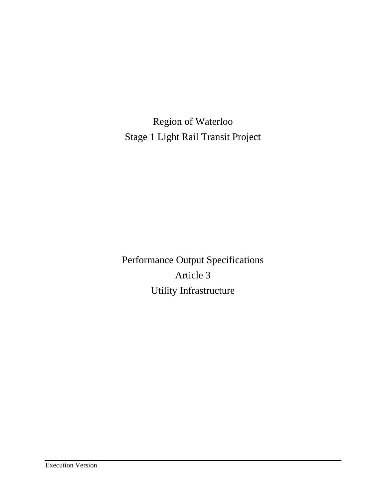Region of Waterloo Stage 1 Light Rail Transit Project

Performance Output Specifications Article 3 Utility Infrastructure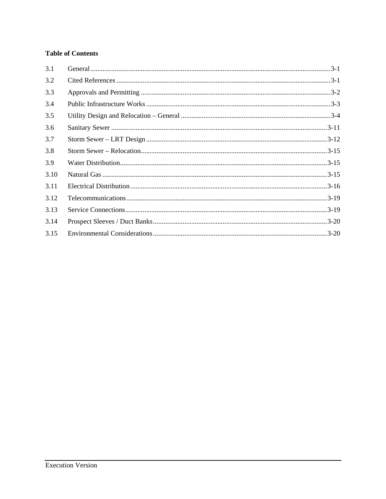# **Table of Contents**

| 3.1  |  |
|------|--|
| 3.2  |  |
| 3.3  |  |
| 3.4  |  |
| 3.5  |  |
| 3.6  |  |
| 3.7  |  |
| 3.8  |  |
| 3.9  |  |
| 3.10 |  |
| 3.11 |  |
| 3.12 |  |
| 3.13 |  |
| 3.14 |  |
| 3.15 |  |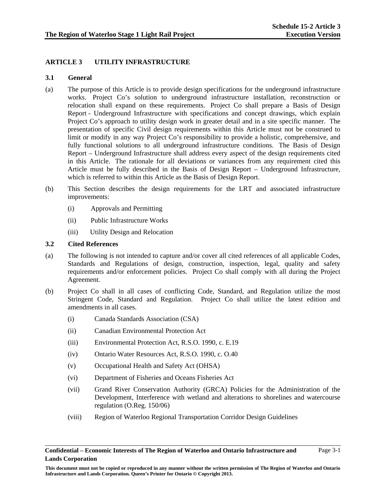## **ARTICLE 3 UTILITY INFRASTRUCTURE**

## **3.1 General**

- (a) The purpose of this Article is to provide design specifications for the underground infrastructure works. Project Co's solution to underground infrastructure installation, reconstruction or relocation shall expand on these requirements. Project Co shall prepare a Basis of Design Report - Underground Infrastructure with specifications and concept drawings, which explain Project Co's approach to utility design work in greater detail and in a site specific manner. The presentation of specific Civil design requirements within this Article must not be construed to limit or modify in any way Project Co's responsibility to provide a holistic, comprehensive, and fully functional solutions to all underground infrastructure conditions. The Basis of Design Report – Underground Infrastructure shall address every aspect of the design requirements cited in this Article. The rationale for all deviations or variances from any requirement cited this Article must be fully described in the Basis of Design Report – Underground Infrastructure, which is referred to within this Article as the Basis of Design Report.
- (b) This Section describes the design requirements for the LRT and associated infrastructure improvements:
	- (i) Approvals and Permitting
	- (ii) Public Infrastructure Works
	- (iii) Utility Design and Relocation

### **3.2 Cited References**

- (a) The following is not intended to capture and/or cover all cited references of all applicable Codes, Standards and Regulations of design, construction, inspection, legal, quality and safety requirements and/or enforcement policies. Project Co shall comply with all during the Project Agreement.
- (b) Project Co shall in all cases of conflicting Code, Standard, and Regulation utilize the most Stringent Code, Standard and Regulation. Project Co shall utilize the latest edition and amendments in all cases.
	- (i) Canada Standards Association (CSA)
	- (ii) Canadian Environmental Protection Act
	- (iii) Environmental Protection Act, R.S.O. 1990, c. E.19
	- (iv) Ontario Water Resources Act, R.S.O. 1990, c. O.40
	- (v) Occupational Health and Safety Act (OHSA)
	- (vi) Department of Fisheries and Oceans Fisheries Act
	- (vii) Grand River Conservation Authority (GRCA) Policies for the Administration of the Development, Interference with wetland and alterations to shorelines and watercourse regulation (O.Reg. 150/06)
	- (viii) Region of Waterloo Regional Transportation Corridor Design Guidelines

#### **Confidential – Economic Interests of The Region of Waterloo and Ontario Infrastructure and Lands Corporation**

**This document must not be copied or reproduced in any manner without the written permission of The Region of Waterloo and Ontario Infrastructure and Lands Corporation. Queen's Printer for Ontario © Copyright 2013.**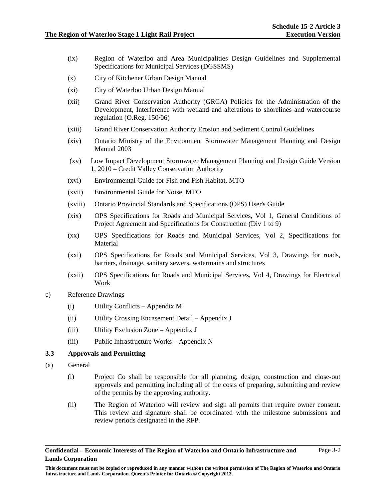- (ix) Region of Waterloo and Area Municipalities Design Guidelines and Supplemental Specifications for Municipal Services (DGSSMS)
- (x) City of Kitchener Urban Design Manual
- (xi) City of Waterloo Urban Design Manual
- (xii) Grand River Conservation Authority (GRCA) Policies for the Administration of the Development, Interference with wetland and alterations to shorelines and watercourse regulation (O.Reg. 150/06)
- (xiii) Grand River Conservation Authority Erosion and Sediment Control Guidelines
- (xiv) Ontario Ministry of the Environment Stormwater Management Planning and Design Manual 2003
- (xv) Low Impact Development Stormwater Management Planning and Design Guide Version 1, 2010 – Credit Valley Conservation Authority
- (xvi) Environmental Guide for Fish and Fish Habitat, MTO
- (xvii) Environmental Guide for Noise, MTO
- (xviii) Ontario Provincial Standards and Specifications (OPS) User's Guide
- (xix) OPS Specifications for Roads and Municipal Services, Vol 1, General Conditions of Project Agreement and Specifications for Construction (Div 1 to 9)
- (xx) OPS Specifications for Roads and Municipal Services, Vol 2, Specifications for Material
- (xxi) OPS Specifications for Roads and Municipal Services, Vol 3, Drawings for roads, barriers, drainage, sanitary sewers, watermains and structures
- (xxii) OPS Specifications for Roads and Municipal Services, Vol 4, Drawings for Electrical Work
- c) Reference Drawings
	- (i) Utility Conflicts Appendix M
	- (ii) Utility Crossing Encasement Detail Appendix J
	- (iii) Utility Exclusion Zone Appendix J
	- (iii) Public Infrastructure Works Appendix N

## **3.3 Approvals and Permitting**

- (a) General
	- (i) Project Co shall be responsible for all planning, design, construction and close-out approvals and permitting including all of the costs of preparing, submitting and review of the permits by the approving authority.
	- (ii) The Region of Waterloo will review and sign all permits that require owner consent. This review and signature shall be coordinated with the milestone submissions and review periods designated in the RFP.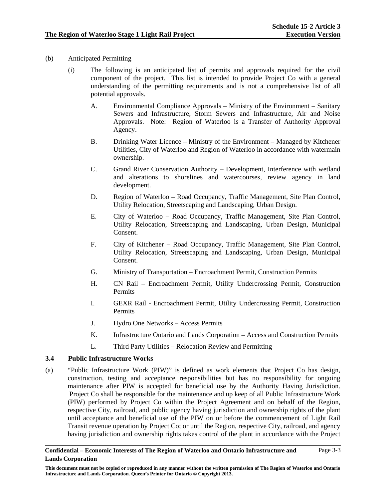- (b) Anticipated Permitting
	- (i) The following is an anticipated list of permits and approvals required for the civil component of the project. This list is intended to provide Project Co with a general understanding of the permitting requirements and is not a comprehensive list of all potential approvals.
		- A. Environmental Compliance Approvals Ministry of the Environment Sanitary Sewers and Infrastructure, Storm Sewers and Infrastructure, Air and Noise Approvals. Note: Region of Waterloo is a Transfer of Authority Approval Agency.
		- B. Drinking Water Licence Ministry of the Environment Managed by Kitchener Utilities, City of Waterloo and Region of Waterloo in accordance with watermain ownership.
		- C. Grand River Conservation Authority Development, Interference with wetland and alterations to shorelines and watercourses, review agency in land development.
		- D. Region of Waterloo Road Occupancy, Traffic Management, Site Plan Control, Utility Relocation, Streetscaping and Landscaping, Urban Design.
		- E. City of Waterloo Road Occupancy, Traffic Management, Site Plan Control, Utility Relocation, Streetscaping and Landscaping, Urban Design, Municipal Consent.
		- F. City of Kitchener Road Occupancy, Traffic Management, Site Plan Control, Utility Relocation, Streetscaping and Landscaping, Urban Design, Municipal Consent.
		- G. Ministry of Transportation Encroachment Permit, Construction Permits
		- H. CN Rail Encroachment Permit, Utility Undercrossing Permit, Construction Permits
		- I. GEXR Rail Encroachment Permit, Utility Undercrossing Permit, Construction Permits
		- J. Hydro One Networks Access Permits
		- K. Infrastructure Ontario and Lands Corporation Access and Construction Permits
		- L. Third Party Utilities Relocation Review and Permitting

### **3.4 Public Infrastructure Works**

(a) "Public Infrastructure Work (PIW)" is defined as work elements that Project Co has design, construction, testing and acceptance responsibilities but has no responsibility for ongoing maintenance after PIW is accepted for beneficial use by the Authority Having Jurisdiction. Project Co shall be responsible for the maintenance and up keep of all Public Infrastructure Work (PIW) performed by Project Co within the Project Agreement and on behalf of the Region, respective City, railroad, and public agency having jurisdiction and ownership rights of the plant until acceptance and beneficial use of the PIW on or before the commencement of Light Rail Transit revenue operation by Project Co; or until the Region, respective City, railroad, and agency having jurisdiction and ownership rights takes control of the plant in accordance with the Project

#### **Confidential – Economic Interests of The Region of Waterloo and Ontario Infrastructure and Lands Corporation**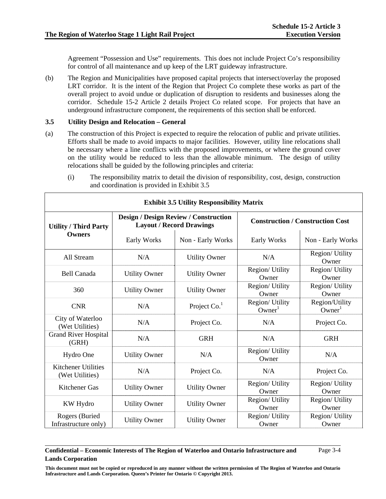Agreement "Possession and Use" requirements. This does not include Project Co's responsibility for control of all maintenance and up keep of the LRT guideway infrastructure.

(b) The Region and Municipalities have proposed capital projects that intersect/overlay the proposed LRT corridor. It is the intent of the Region that Project Co complete these works as part of the overall project to avoid undue or duplication of disruption to residents and businesses along the corridor. Schedule 15-2 Article 2 details Project Co related scope. For projects that have an underground infrastructure component, the requirements of this section shall be enforced.

## **3.5 Utility Design and Relocation – General**

- (a) The construction of this Project is expected to require the relocation of public and private utilities. Efforts shall be made to avoid impacts to major facilities. However, utility line relocations shall be necessary where a line conflicts with the proposed improvements, or where the ground cover on the utility would be reduced to less than the allowable minimum. The design of utility relocations shall be guided by the following principles and criteria:
	- (i) The responsibility matrix to detail the division of responsibility, cost, design, construction and coordination is provided in Exhibit 3.5

| <b>Exhibit 3.5 Utility Responsibility Matrix</b> |                      |                                                                                 |                                         |                                      |  |
|--------------------------------------------------|----------------------|---------------------------------------------------------------------------------|-----------------------------------------|--------------------------------------|--|
| <b>Utility / Third Party</b>                     |                      | <b>Design / Design Review / Construction</b><br><b>Layout / Record Drawings</b> | <b>Construction / Construction Cost</b> |                                      |  |
| <b>Owners</b>                                    | Early Works          | Non - Early Works                                                               | Early Works                             | Non - Early Works                    |  |
| All Stream                                       | N/A                  | <b>Utility Owner</b>                                                            | N/A                                     | Region/ Utility<br>Owner             |  |
| <b>Bell Canada</b>                               | <b>Utility Owner</b> | <b>Utility Owner</b>                                                            | Region/ Utility<br>Owner                | Region/ Utility<br>Owner             |  |
| 360                                              | <b>Utility Owner</b> | <b>Utility Owner</b>                                                            | Region/ Utility<br>Owner                | Region/ Utility<br>Owner             |  |
| <b>CNR</b>                                       | N/A                  | Project $Co1$                                                                   | Region/ Utility<br>Owner <sup>1</sup>   | Region/Utility<br>Owner <sup>1</sup> |  |
| City of Waterloo<br>(Wet Utilities)              | N/A                  | Project Co.                                                                     | N/A                                     | Project Co.                          |  |
| <b>Grand River Hospital</b><br>(GRH)             | N/A                  | <b>GRH</b>                                                                      | N/A                                     | <b>GRH</b>                           |  |
| Hydro One                                        | <b>Utility Owner</b> | N/A                                                                             | Region/ Utility<br>Owner                | N/A                                  |  |
| <b>Kitchener Utilities</b><br>(Wet Utilities)    | N/A                  | Project Co.                                                                     | N/A                                     | Project Co.                          |  |
| Kitchener Gas                                    | <b>Utility Owner</b> | <b>Utility Owner</b>                                                            | Region/ Utility<br>Owner                | Region/ Utility<br>Owner             |  |
| KW Hydro                                         | <b>Utility Owner</b> | <b>Utility Owner</b>                                                            | Region/ Utility<br>Owner                | Region/ Utility<br>Owner             |  |
| Rogers (Buried<br>Infrastructure only)           | <b>Utility Owner</b> | <b>Utility Owner</b>                                                            | Region/ Utility<br>Owner                | Region/ Utility<br>Owner             |  |

#### **Confidential – Economic Interests of The Region of Waterloo and Ontario Infrastructure and Lands Corporation**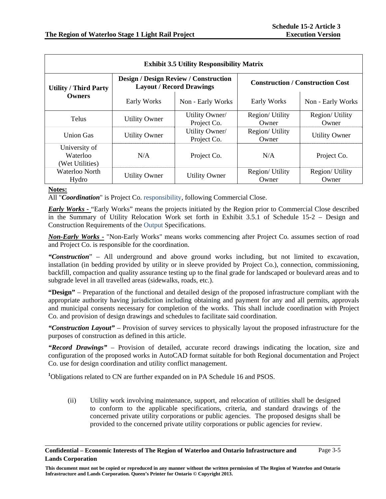| <b>Exhibit 3.5 Utility Responsibility Matrix</b> |                      |                                                                                 |                          |                                         |  |
|--------------------------------------------------|----------------------|---------------------------------------------------------------------------------|--------------------------|-----------------------------------------|--|
| <b>Utility / Third Party</b>                     |                      | <b>Design / Design Review / Construction</b><br><b>Layout / Record Drawings</b> |                          | <b>Construction / Construction Cost</b> |  |
| Owners                                           | Early Works          | Non - Early Works                                                               | Early Works              | Non - Early Works                       |  |
| <b>Telus</b>                                     | <b>Utility Owner</b> | Utility Owner/<br>Project Co.                                                   | Region/ Utility<br>Owner | Region/ Utility<br>Owner                |  |
| <b>Union Gas</b>                                 | <b>Utility Owner</b> | Utility Owner/<br>Project Co.                                                   | Region/Utility<br>Owner  | <b>Utility Owner</b>                    |  |
| University of<br>Waterloo<br>(Wet Utilities)     | N/A                  | Project Co.                                                                     | N/A                      | Project Co.                             |  |
| Waterloo North<br>Hydro                          | <b>Utility Owner</b> | <b>Utility Owner</b>                                                            | Region/ Utility<br>Owner | Region/ Utility<br>Owner                |  |

#### **Notes:**

All "*Coordination*" is Project Co. responsibility, following Commercial Close.

*Early Works -* "Early Works" means the projects initiated by the Region prior to Commercial Close described in the Summary of Utility Relocation Work set forth in Exhibit 3.5.1 of Schedule 15-2 – Design and Construction Requirements of the Output Specifications.

*Non-Early Works -* "Non-Early Works" means works commencing after Project Co. assumes section of road and Project Co. is responsible for the coordination.

*"Construction*" – All underground and above ground works including, but not limited to excavation, installation (in bedding provided by utility or in sleeve provided by Project Co.), connection, commissioning, backfill, compaction and quality assurance testing up to the final grade for landscaped or boulevard areas and to subgrade level in all travelled areas (sidewalks, roads, etc.).

**"Design"** – Preparation of the functional and detailed design of the proposed infrastructure compliant with the appropriate authority having jurisdiction including obtaining and payment for any and all permits, approvals and municipal consents necessary for completion of the works. This shall include coordination with Project Co. and provision of design drawings and schedules to facilitate said coordination.

*"Construction Layout"* – Provision of survey services to physically layout the proposed infrastructure for the purposes of construction as defined in this article.

*"Record Drawings"* – Provision of detailed, accurate record drawings indicating the location, size and configuration of the proposed works in AutoCAD format suitable for both Regional documentation and Project Co. use for design coordination and utility conflict management.

<sup>1</sup>Obligations related to CN are further expanded on in PA Schedule 16 and PSOS.

(ii) Utility work involving maintenance, support, and relocation of utilities shall be designed to conform to the applicable specifications, criteria, and standard drawings of the concerned private utility corporations or public agencies. The proposed designs shall be provided to the concerned private utility corporations or public agencies for review.

**Confidential – Economic Interests of The Region of Waterloo and Ontario Infrastructure and Lands Corporation**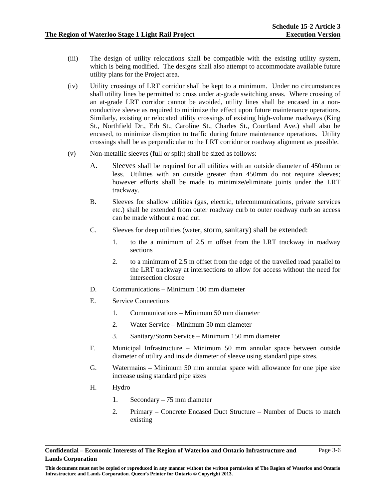- (iii) The design of utility relocations shall be compatible with the existing utility system, which is being modified. The designs shall also attempt to accommodate available future utility plans for the Project area.
- (iv) Utility crossings of LRT corridor shall be kept to a minimum. Under no circumstances shall utility lines be permitted to cross under at-grade switching areas. Where crossing of an at-grade LRT corridor cannot be avoided, utility lines shall be encased in a nonconductive sleeve as required to minimize the effect upon future maintenance operations. Similarly, existing or relocated utility crossings of existing high-volume roadways (King St., Northfield Dr., Erb St., Caroline St., Charles St., Courtland Ave.) shall also be encased, to minimize disruption to traffic during future maintenance operations. Utility crossings shall be as perpendicular to the LRT corridor or roadway alignment as possible.
- (v) Non-metallic sleeves (full or split) shall be sized as follows:
	- A. Sleeves shall be required for all utilities with an outside diameter of 450mm or less. Utilities with an outside greater than 450mm do not require sleeves; however efforts shall be made to minimize/eliminate joints under the LRT trackway.
	- B. Sleeves for shallow utilities (gas, electric, telecommunications, private services etc.) shall be extended from outer roadway curb to outer roadway curb so access can be made without a road cut.
	- C. Sleeves for deep utilities (water, storm, sanitary) shall be extended:
		- 1. to the a minimum of 2.5 m offset from the LRT trackway in roadway sections
		- 2. to a minimum of 2.5 m offset from the edge of the travelled road parallel to the LRT trackway at intersections to allow for access without the need for intersection closure
	- D. Communications Minimum 100 mm diameter
	- E. Service Connections
		- 1. Communications Minimum 50 mm diameter
		- 2. Water Service Minimum 50 mm diameter
		- 3. Sanitary/Storm Service Minimum 150 mm diameter
	- F. Municipal Infrastructure Minimum 50 mm annular space between outside diameter of utility and inside diameter of sleeve using standard pipe sizes.
	- G. Watermains Minimum 50 mm annular space with allowance for one pipe size increase using standard pipe sizes
	- H. Hydro
		- 1. Secondary 75 mm diameter
		- 2. Primary Concrete Encased Duct Structure Number of Ducts to match existing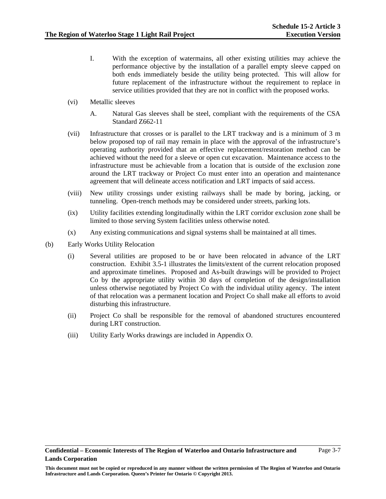- I. With the exception of watermains, all other existing utilities may achieve the performance objective by the installation of a parallel empty sleeve capped on both ends immediately beside the utility being protected. This will allow for future replacement of the infrastructure without the requirement to replace in service utilities provided that they are not in conflict with the proposed works.
- (vi) Metallic sleeves
	- A. Natural Gas sleeves shall be steel, compliant with the requirements of the CSA Standard Z662-11
- (vii) Infrastructure that crosses or is parallel to the LRT trackway and is a minimum of 3 m below proposed top of rail may remain in place with the approval of the infrastructure's operating authority provided that an effective replacement/restoration method can be achieved without the need for a sleeve or open cut excavation. Maintenance access to the infrastructure must be achievable from a location that is outside of the exclusion zone around the LRT trackway or Project Co must enter into an operation and maintenance agreement that will delineate access notification and LRT impacts of said access.
- (viii) New utility crossings under existing railways shall be made by boring, jacking, or tunneling. Open-trench methods may be considered under streets, parking lots.
- (ix) Utility facilities extending longitudinally within the LRT corridor exclusion zone shall be limited to those serving System facilities unless otherwise noted.
- (x) Any existing communications and signal systems shall be maintained at all times.
- (b) Early Works Utility Relocation
	- (i) Several utilities are proposed to be or have been relocated in advance of the LRT construction. Exhibit 3.5-1 illustrates the limits/extent of the current relocation proposed and approximate timelines. Proposed and As-built drawings will be provided to Project Co by the appropriate utility within 30 days of completion of the design/installation unless otherwise negotiated by Project Co with the individual utility agency. The intent of that relocation was a permanent location and Project Co shall make all efforts to avoid disturbing this infrastructure.
	- (ii) Project Co shall be responsible for the removal of abandoned structures encountered during LRT construction.
	- (iii) Utility Early Works drawings are included in Appendix O.

**This document must not be copied or reproduced in any manner without the written permission of The Region of Waterloo and Ontario Infrastructure and Lands Corporation. Queen's Printer for Ontario © Copyright 2013.**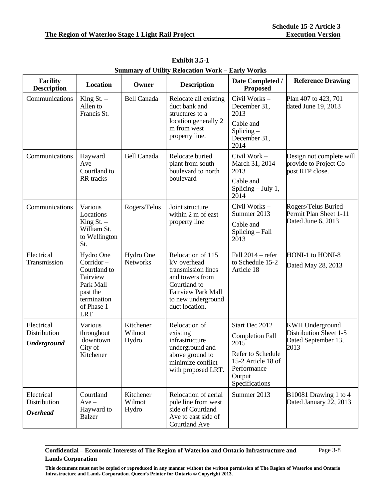| <b>Facility</b><br><b>Description</b>            | <b>Location</b>                                                                                                        | Owner                        | <b>Description</b>                                                                                                                                             | Date Completed /<br><b>Proposed</b>                                                                                                    | <b>Reference Drawing</b>                                                        |
|--------------------------------------------------|------------------------------------------------------------------------------------------------------------------------|------------------------------|----------------------------------------------------------------------------------------------------------------------------------------------------------------|----------------------------------------------------------------------------------------------------------------------------------------|---------------------------------------------------------------------------------|
| Communications                                   | King $St.$ –<br>Allen to<br>Francis St.                                                                                | <b>Bell Canada</b>           | Relocate all existing<br>duct bank and<br>structures to a<br>location generally 2<br>m from west<br>property line.                                             | Civil Works-<br>December 31,<br>2013<br>Cable and<br>$Splicing -$<br>December 31,<br>2014                                              | Plan 407 to 423, 701<br>dated June 19, 2013                                     |
| Communications                                   | Hayward<br>$Ave -$<br>Courtland to<br>RR tracks                                                                        | <b>Bell Canada</b>           | Relocate buried<br>plant from south<br>boulevard to north<br>boulevard                                                                                         | Civil Work-<br>March 31, 2014<br>2013<br>Cable and<br>Splicing $-$ July 1,<br>2014                                                     | Design not complete will<br>provide to Project Co<br>post RFP close.            |
| Communications                                   | Various<br>Locations<br>King $St.$ –<br>William St.<br>to Wellington<br>St.                                            | Rogers/Telus                 | Joint structure<br>within 2 m of east<br>property line                                                                                                         | Civil Works-<br>Summer 2013<br>Cable and<br>Splicing - Fall<br>2013                                                                    | Rogers/Telus Buried<br>Permit Plan Sheet 1-11<br>Dated June 6, 2013             |
| Electrical<br>Transmission                       | Hydro One<br>Corridor-<br>Courtland to<br>Fairview<br>Park Mall<br>past the<br>termination<br>of Phase 1<br><b>LRT</b> | Hydro One<br><b>Networks</b> | Relocation of 115<br>kV overhead<br>transmission lines<br>and towers from<br>Courtland to<br><b>Fairview Park Mall</b><br>to new underground<br>duct location. | Fall 2014 - refer<br>to Schedule 15-2<br>Article 18                                                                                    | HONI-1 to HONI-8<br>Dated May 28, 2013                                          |
| Electrical<br>Distribution<br><b>Underground</b> | Various<br>throughout<br>downtown<br>City of<br>Kitchener                                                              | Kitchener<br>Wilmot<br>Hydro | Relocation of<br>existing<br>infrastructure<br>underground and<br>above ground to<br>minimize conflict<br>with proposed LRT.                                   | Start Dec 2012<br><b>Completion Fall</b><br>2015<br>Refer to Schedule<br>15-2 Article 18 of<br>Performance<br>Output<br>Specifications | <b>KWH Underground</b><br>Distribution Sheet 1-5<br>Dated September 13,<br>2013 |
| Electrical<br>Distribution<br><b>Overhead</b>    | Courtland<br>$Ave -$<br>Hayward to<br><b>Balzer</b>                                                                    | Kitchener<br>Wilmot<br>Hydro | Relocation of aerial<br>pole line from west<br>side of Courtland<br>Ave to east side of<br>Courtland Ave                                                       | Summer 2013                                                                                                                            | B10081 Drawing 1 to 4<br>Dated January 22, 2013                                 |

**Exhibit 3.5-1 Summary of Utility Relocation Work – Early Works**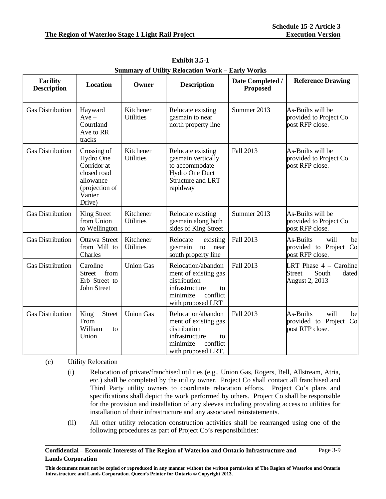| <b>Facility</b><br><b>Description</b> | <b>Location</b>                                                                                           | Owner                         | <b>Description</b>                                                                                                               | Date Completed /<br><b>Proposed</b> | <b>Reference Drawing</b>                                                      |
|---------------------------------------|-----------------------------------------------------------------------------------------------------------|-------------------------------|----------------------------------------------------------------------------------------------------------------------------------|-------------------------------------|-------------------------------------------------------------------------------|
| <b>Gas Distribution</b>               | Hayward<br>$Ave -$<br>Courtland<br>Ave to RR<br>tracks                                                    | Kitchener<br><b>Utilities</b> | Relocate existing<br>gasmain to near<br>north property line                                                                      | Summer 2013                         | As-Builts will be<br>provided to Project Co<br>post RFP close.                |
| <b>Gas Distribution</b>               | Crossing of<br>Hydro One<br>Corridor at<br>closed road<br>allowance<br>(projection of<br>Vanier<br>Drive) | Kitchener<br><b>Utilities</b> | Relocate existing<br>gasmain vertically<br>to accommodate<br>Hydro One Duct<br><b>Structure and LRT</b><br>rapidway              | Fall 2013                           | As-Builts will be<br>provided to Project Co<br>post RFP close.                |
| <b>Gas Distribution</b>               | <b>King Street</b><br>from Union<br>to Wellington                                                         | Kitchener<br><b>Utilities</b> | Relocate existing<br>gasmain along both<br>sides of King Street                                                                  | Summer 2013                         | As-Builts will be<br>provided to Project Co<br>post RFP close.                |
| <b>Gas Distribution</b>               | Ottawa Street<br>from Mill to<br>Charles                                                                  | Kitchener<br><b>Utilities</b> | Relocate<br>existing<br>gasmain<br>to<br>near<br>south property line                                                             | Fall 2013                           | will<br>As-Builts<br>be<br>provided to Project Co<br>post RFP close.          |
| <b>Gas Distribution</b>               | Caroline<br>from<br><b>Street</b><br>Erb Street to<br>John Street                                         | <b>Union Gas</b>              | Relocation/abandon<br>ment of existing gas<br>distribution<br>infrastructure<br>to<br>conflict<br>minimize<br>with proposed LRT  | Fall 2013                           | LRT Phase $4 -$ Caroline<br>South<br>dated<br><b>Street</b><br>August 2, 2013 |
| <b>Gas Distribution</b>               | King<br><b>Street</b><br>From<br>William<br>to<br>Union                                                   | <b>Union Gas</b>              | Relocation/abandon<br>ment of existing gas<br>distribution<br>infrastructure<br>to<br>conflict<br>minimize<br>with proposed LRT. | Fall 2013                           | As-Builts<br>will<br>be<br>provided to Project<br>Co<br>post RFP close.       |

**Exhibit 3.5-1 Summary of Utility Relocation Work – Early Works**

### (c) Utility Relocation

- (i) Relocation of private/franchised utilities (e.g., Union Gas, Rogers, Bell, Allstream, Atria, etc.) shall be completed by the utility owner. Project Co shall contact all franchised and Third Party utility owners to coordinate relocation efforts. Project Co's plans and specifications shall depict the work performed by others. Project Co shall be responsible for the provision and installation of any sleeves including providing access to utilities for installation of their infrastructure and any associated reinstatements.
- (ii) All other utility relocation construction activities shall be rearranged using one of the following procedures as part of Project Co's responsibilities:

#### **Confidential – Economic Interests of The Region of Waterloo and Ontario Infrastructure and Lands Corporation**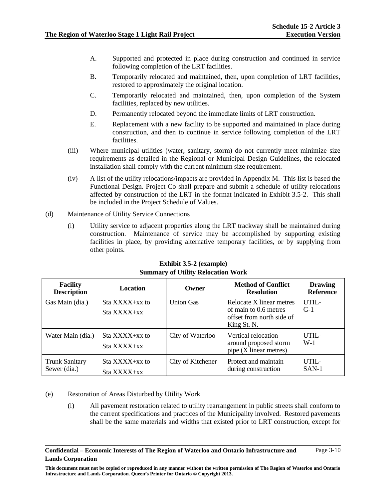- A. Supported and protected in place during construction and continued in service following completion of the LRT facilities.
- B. Temporarily relocated and maintained, then, upon completion of LRT facilities, restored to approximately the original location.
- C. Temporarily relocated and maintained, then, upon completion of the System facilities, replaced by new utilities.
- D. Permanently relocated beyond the immediate limits of LRT construction.
- E. Replacement with a new facility to be supported and maintained in place during construction, and then to continue in service following completion of the LRT facilities.
- (iii) Where municipal utilities (water, sanitary, storm) do not currently meet minimize size requirements as detailed in the Regional or Municipal Design Guidelines, the relocated installation shall comply with the current minimum size requirement.
- (iv) A list of the utility relocations/impacts are provided in Appendix M. This list is based the Functional Design. Project Co shall prepare and submit a schedule of utility relocations affected by construction of the LRT in the format indicated in Exhibit 3.5-2. This shall be included in the Project Schedule of Values.
- (d) Maintenance of Utility Service Connections
	- (i) Utility service to adjacent properties along the LRT trackway shall be maintained during construction. Maintenance of service may be accomplished by supporting existing facilities in place, by providing alternative temporary facilities, or by supplying from other points.

| <b>Facility</b><br><b>Description</b> | <b>Location</b>                       | Owner             | <b>Method of Conflict</b><br><b>Resolution</b>                                                | <b>Drawing</b><br><b>Reference</b> |
|---------------------------------------|---------------------------------------|-------------------|-----------------------------------------------------------------------------------------------|------------------------------------|
| Gas Main (dia.)                       | $Sta$ XXXX $+xx$ to<br>$Sta$ $XXX+xx$ | <b>Union Gas</b>  | Relocate X linear metres<br>of main to 0.6 metres<br>offset from north side of<br>King St. N. | UTIL-<br>$G-1$                     |
| Water Main (dia.)                     | Sta XXXX+xx to<br>$Sta$ $XXX+xx$      | City of Waterloo  | Vertical relocation<br>around proposed storm<br>pipe (X linear metres)                        | UTIL-<br>$W-1$                     |
| <b>Trunk Sanitary</b><br>Sewer (dia.) | $Sta$ XXXX $+xx$ to<br>Sta XXXX+xx    | City of Kitchener | Protect and maintain<br>during construction                                                   | $UTH -$<br>$SAN-1$                 |

## **Exhibit 3.5-2 (example) Summary of Utility Relocation Work**

### (e) Restoration of Areas Disturbed by Utility Work

(i) All pavement restoration related to utility rearrangement in public streets shall conform to the current specifications and practices of the Municipality involved. Restored pavements shall be the same materials and widths that existed prior to LRT construction, except for

#### **Confidential – Economic Interests of The Region of Waterloo and Ontario Infrastructure and Lands Corporation**  Page 3-10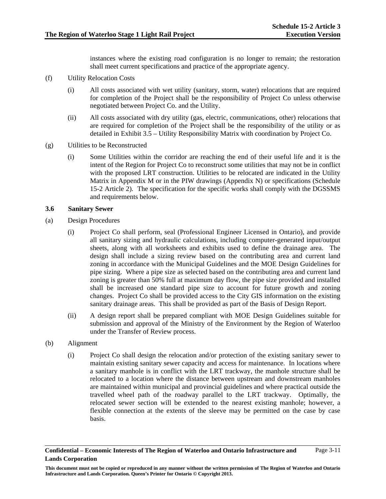instances where the existing road configuration is no longer to remain; the restoration shall meet current specifications and practice of the appropriate agency.

- (f) Utility Relocation Costs
	- (i) All costs associated with wet utility (sanitary, storm, water) relocations that are required for completion of the Project shall be the responsibility of Project Co unless otherwise negotiated between Project Co. and the Utility.
	- (ii) All costs associated with dry utility (gas, electric, communications, other) relocations that are required for completion of the Project shall be the responsibility of the utility or as detailed in Exhibit 3.5 – Utility Responsibility Matrix with coordination by Project Co.
- (g) Utilities to be Reconstructed
	- (i) Some Utilities within the corridor are reaching the end of their useful life and it is the intent of the Region for Project Co to reconstruct some utilities that may not be in conflict with the proposed LRT construction. Utilities to be relocated are indicated in the Utility Matrix in Appendix M or in the PIW drawings (Appendix N) or specifications (Schedule 15-2 Article 2). The specification for the specific works shall comply with the DGSSMS and requirements below.

#### **3.6 Sanitary Sewer**

- (a) Design Procedures
	- (i) Project Co shall perform, seal (Professional Engineer Licensed in Ontario), and provide all sanitary sizing and hydraulic calculations, including computer-generated input/output sheets, along with all worksheets and exhibits used to define the drainage area. The design shall include a sizing review based on the contributing area and current land zoning in accordance with the Municipal Guidelines and the MOE Design Guidelines for pipe sizing. Where a pipe size as selected based on the contributing area and current land zoning is greater than 50% full at maximum day flow, the pipe size provided and installed shall be increased one standard pipe size to account for future growth and zoning changes. Project Co shall be provided access to the City GIS information on the existing sanitary drainage areas. This shall be provided as part of the Basis of Design Report.
	- (ii) A design report shall be prepared compliant with MOE Design Guidelines suitable for submission and approval of the Ministry of the Environment by the Region of Waterloo under the Transfer of Review process.
- (b) Alignment
	- (i) Project Co shall design the relocation and/or protection of the existing sanitary sewer to maintain existing sanitary sewer capacity and access for maintenance. In locations where a sanitary manhole is in conflict with the LRT trackway, the manhole structure shall be relocated to a location where the distance between upstream and downstream manholes are maintained within municipal and provincial guidelines and where practical outside the travelled wheel path of the roadway parallel to the LRT trackway. Optimally, the relocated sewer section will be extended to the nearest existing manhole; however, a flexible connection at the extents of the sleeve may be permitted on the case by case basis.

**Confidential – Economic Interests of The Region of Waterloo and Ontario Infrastructure and Lands Corporation**  Page 3-11

**This document must not be copied or reproduced in any manner without the written permission of The Region of Waterloo and Ontario Infrastructure and Lands Corporation. Queen's Printer for Ontario © Copyright 2013.**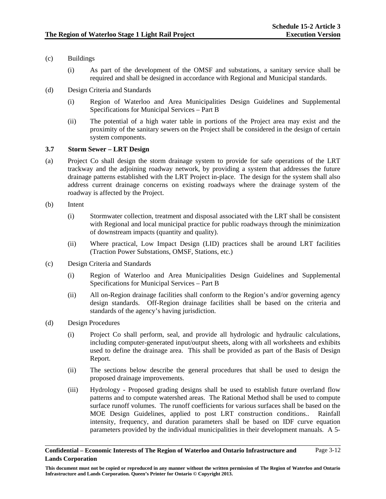- (c) Buildings
	- (i) As part of the development of the OMSF and substations, a sanitary service shall be required and shall be designed in accordance with Regional and Municipal standards.
- (d) Design Criteria and Standards
	- (i) Region of Waterloo and Area Municipalities Design Guidelines and Supplemental Specifications for Municipal Services – Part B
	- (ii) The potential of a high water table in portions of the Project area may exist and the proximity of the sanitary sewers on the Project shall be considered in the design of certain system components.

## **3.7 Storm Sewer – LRT Design**

- (a) Project Co shall design the storm drainage system to provide for safe operations of the LRT trackway and the adjoining roadway network, by providing a system that addresses the future drainage patterns established with the LRT Project in-place. The design for the system shall also address current drainage concerns on existing roadways where the drainage system of the roadway is affected by the Project.
- (b) Intent
	- (i) Stormwater collection, treatment and disposal associated with the LRT shall be consistent with Regional and local municipal practice for public roadways through the minimization of downstream impacts (quantity and quality).
	- (ii) Where practical, Low Impact Design (LID) practices shall be around LRT facilities (Traction Power Substations, OMSF, Stations, etc.)
- (c) Design Criteria and Standards
	- (i) Region of Waterloo and Area Municipalities Design Guidelines and Supplemental Specifications for Municipal Services – Part B
	- (ii) All on-Region drainage facilities shall conform to the Region's and/or governing agency design standards. Off-Region drainage facilities shall be based on the criteria and standards of the agency's having jurisdiction.
- (d) Design Procedures
	- (i) Project Co shall perform, seal, and provide all hydrologic and hydraulic calculations, including computer-generated input/output sheets, along with all worksheets and exhibits used to define the drainage area. This shall be provided as part of the Basis of Design Report.
	- (ii) The sections below describe the general procedures that shall be used to design the proposed drainage improvements.
	- (iii) Hydrology Proposed grading designs shall be used to establish future overland flow patterns and to compute watershed areas. The Rational Method shall be used to compute surface runoff volumes. The runoff coefficients for various surfaces shall be based on the MOE Design Guidelines, applied to post LRT construction conditions.. Rainfall intensity, frequency, and duration parameters shall be based on IDF curve equation parameters provided by the individual municipalities in their development manuals. A 5-

**Confidential – Economic Interests of The Region of Waterloo and Ontario Infrastructure and Lands Corporation**  Page 3-12

**This document must not be copied or reproduced in any manner without the written permission of The Region of Waterloo and Ontario Infrastructure and Lands Corporation. Queen's Printer for Ontario © Copyright 2013.**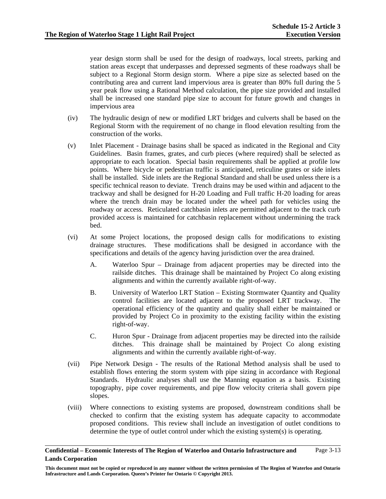year design storm shall be used for the design of roadways, local streets, parking and station areas except that underpasses and depressed segments of these roadways shall be subject to a Regional Storm design storm. Where a pipe size as selected based on the contributing area and current land impervious area is greater than 80% full during the 5 year peak flow using a Rational Method calculation, the pipe size provided and installed shall be increased one standard pipe size to account for future growth and changes in impervious area

- (iv) The hydraulic design of new or modified LRT bridges and culverts shall be based on the Regional Storm with the requirement of no change in flood elevation resulting from the construction of the works.
- (v) Inlet Placement Drainage basins shall be spaced as indicated in the Regional and City Guidelines. Basin frames, grates, and curb pieces (where required) shall be selected as appropriate to each location. Special basin requirements shall be applied at profile low points. Where bicycle or pedestrian traffic is anticipated, reticuline grates or side inlets shall be installed. Side inlets are the Regional Standard and shall be used unless there is a specific technical reason to deviate. Trench drains may be used within and adjacent to the trackway and shall be designed for H-20 Loading and Full traffic H-20 loading for areas where the trench drain may be located under the wheel path for vehicles using the roadway or access. Reticulated catchbasin inlets are permitted adjacent to the track curb provided access is maintained for catchbasin replacement without undermining the track bed.
- (vi) At some Project locations, the proposed design calls for modifications to existing drainage structures. These modifications shall be designed in accordance with the specifications and details of the agency having jurisdiction over the area drained.
	- A. Waterloo Spur Drainage from adjacent properties may be directed into the railside ditches. This drainage shall be maintained by Project Co along existing alignments and within the currently available right-of-way.
	- B. University of Waterloo LRT Station Existing Stormwater Quantity and Quality control facilities are located adjacent to the proposed LRT trackway. The operational efficiency of the quantity and quality shall either be maintained or provided by Project Co in proximity to the existing facility within the existing right-of-way.
	- C. Huron Spur Drainage from adjacent properties may be directed into the railside ditches. This drainage shall be maintained by Project Co along existing alignments and within the currently available right-of-way.
- (vii) Pipe Network Design The results of the Rational Method analysis shall be used to establish flows entering the storm system with pipe sizing in accordance with Regional Standards. Hydraulic analyses shall use the Manning equation as a basis. Existing topography, pipe cover requirements, and pipe flow velocity criteria shall govern pipe slopes.
- (viii) Where connections to existing systems are proposed, downstream conditions shall be checked to confirm that the existing system has adequate capacity to accommodate proposed conditions. This review shall include an investigation of outlet conditions to determine the type of outlet control under which the existing system(s) is operating.

#### **Confidential – Economic Interests of The Region of Waterloo and Ontario Infrastructure and Lands Corporation**  Page 3-13

**This document must not be copied or reproduced in any manner without the written permission of The Region of Waterloo and Ontario Infrastructure and Lands Corporation. Queen's Printer for Ontario © Copyright 2013.**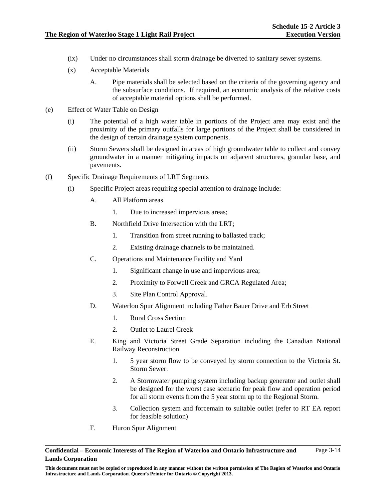- (ix) Under no circumstances shall storm drainage be diverted to sanitary sewer systems.
- (x) Acceptable Materials
	- A. Pipe materials shall be selected based on the criteria of the governing agency and the subsurface conditions. If required, an economic analysis of the relative costs of acceptable material options shall be performed.
- (e) Effect of Water Table on Design
	- (i) The potential of a high water table in portions of the Project area may exist and the proximity of the primary outfalls for large portions of the Project shall be considered in the design of certain drainage system components.
	- (ii) Storm Sewers shall be designed in areas of high groundwater table to collect and convey groundwater in a manner mitigating impacts on adjacent structures, granular base, and pavements.
- (f) Specific Drainage Requirements of LRT Segments
	- (i) Specific Project areas requiring special attention to drainage include:
		- A. All Platform areas
			- 1. Due to increased impervious areas;
		- B. Northfield Drive Intersection with the LRT;
			- 1. Transition from street running to ballasted track;
			- 2. Existing drainage channels to be maintained.
		- C. Operations and Maintenance Facility and Yard
			- 1. Significant change in use and impervious area;
			- 2. Proximity to Forwell Creek and GRCA Regulated Area;
			- 3. Site Plan Control Approval.
		- D. Waterloo Spur Alignment including Father Bauer Drive and Erb Street
			- 1. Rural Cross Section
			- 2. Outlet to Laurel Creek
		- E. King and Victoria Street Grade Separation including the Canadian National Railway Reconstruction
			- 1. 5 year storm flow to be conveyed by storm connection to the Victoria St. Storm Sewer.
			- 2. A Stormwater pumping system including backup generator and outlet shall be designed for the worst case scenario for peak flow and operation period for all storm events from the 5 year storm up to the Regional Storm.
			- 3. Collection system and forcemain to suitable outlet (refer to RT EA report for feasible solution)
		- F. Huron Spur Alignment

**This document must not be copied or reproduced in any manner without the written permission of The Region of Waterloo and Ontario Infrastructure and Lands Corporation. Queen's Printer for Ontario © Copyright 2013.**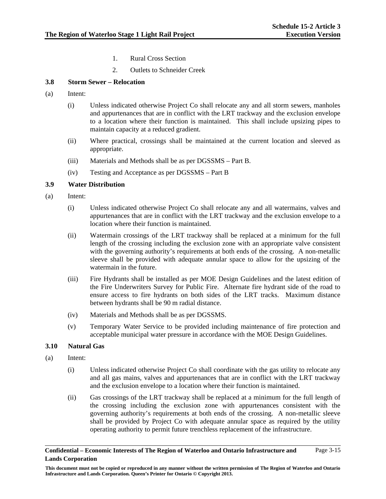- 1. Rural Cross Section
- 2. Outlets to Schneider Creek

## **3.8 Storm Sewer – Relocation**

- (a) Intent:
	- (i) Unless indicated otherwise Project Co shall relocate any and all storm sewers, manholes and appurtenances that are in conflict with the LRT trackway and the exclusion envelope to a location where their function is maintained. This shall include upsizing pipes to maintain capacity at a reduced gradient.
	- (ii) Where practical, crossings shall be maintained at the current location and sleeved as appropriate.
	- (iii) Materials and Methods shall be as per DGSSMS Part B.
	- (iv) Testing and Acceptance as per DGSSMS Part B

## **3.9 Water Distribution**

- (a) Intent:
	- (i) Unless indicated otherwise Project Co shall relocate any and all watermains, valves and appurtenances that are in conflict with the LRT trackway and the exclusion envelope to a location where their function is maintained.
	- (ii) Watermain crossings of the LRT trackway shall be replaced at a minimum for the full length of the crossing including the exclusion zone with an appropriate valve consistent with the governing authority's requirements at both ends of the crossing. A non-metallic sleeve shall be provided with adequate annular space to allow for the upsizing of the watermain in the future.
	- (iii) Fire Hydrants shall be installed as per MOE Design Guidelines and the latest edition of the Fire Underwriters Survey for Public Fire. Alternate fire hydrant side of the road to ensure access to fire hydrants on both sides of the LRT tracks. Maximum distance between hydrants shall be 90 m radial distance.
	- (iv) Materials and Methods shall be as per DGSSMS.
	- (v) Temporary Water Service to be provided including maintenance of fire protection and acceptable municipal water pressure in accordance with the MOE Design Guidelines.

### **3.10 Natural Gas**

- (a) Intent:
	- (i) Unless indicated otherwise Project Co shall coordinate with the gas utility to relocate any and all gas mains, valves and appurtenances that are in conflict with the LRT trackway and the exclusion envelope to a location where their function is maintained.
	- (ii) Gas crossings of the LRT trackway shall be replaced at a minimum for the full length of the crossing including the exclusion zone with appurtenances consistent with the governing authority's requirements at both ends of the crossing. A non-metallic sleeve shall be provided by Project Co with adequate annular space as required by the utility operating authority to permit future trenchless replacement of the infrastructure.

**This document must not be copied or reproduced in any manner without the written permission of The Region of Waterloo and Ontario Infrastructure and Lands Corporation. Queen's Printer for Ontario © Copyright 2013.**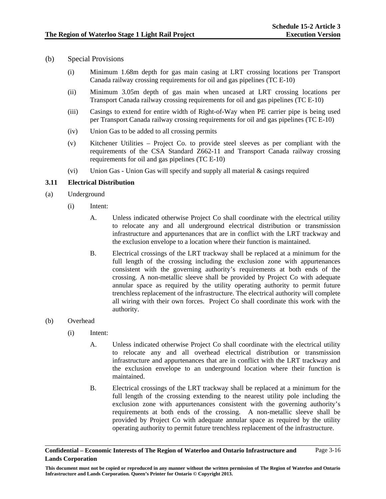- (b) Special Provisions
	- (i) Minimum 1.68m depth for gas main casing at LRT crossing locations per Transport Canada railway crossing requirements for oil and gas pipelines (TC E-10)
	- (ii) Minimum 3.05m depth of gas main when uncased at LRT crossing locations per Transport Canada railway crossing requirements for oil and gas pipelines (TC E-10)
	- (iii) Casings to extend for entire width of Right-of-Way when PE carrier pipe is being used per Transport Canada railway crossing requirements for oil and gas pipelines (TC E-10)
	- (iv) Union Gas to be added to all crossing permits
	- (v) Kitchener Utilities Project Co. to provide steel sleeves as per compliant with the requirements of the CSA Standard Z662-11 and Transport Canada railway crossing requirements for oil and gas pipelines (TC E-10)
	- (vi) Union Gas Union Gas will specify and supply all material & casings required

## **3.11 Electrical Distribution**

- (a) Underground
	- (i) Intent:
		- A. Unless indicated otherwise Project Co shall coordinate with the electrical utility to relocate any and all underground electrical distribution or transmission infrastructure and appurtenances that are in conflict with the LRT trackway and the exclusion envelope to a location where their function is maintained.
		- B. Electrical crossings of the LRT trackway shall be replaced at a minimum for the full length of the crossing including the exclusion zone with appurtenances consistent with the governing authority's requirements at both ends of the crossing. A non-metallic sleeve shall be provided by Project Co with adequate annular space as required by the utility operating authority to permit future trenchless replacement of the infrastructure. The electrical authority will complete all wiring with their own forces. Project Co shall coordinate this work with the authority.
- (b) Overhead
	- (i) Intent:
		- A. Unless indicated otherwise Project Co shall coordinate with the electrical utility to relocate any and all overhead electrical distribution or transmission infrastructure and appurtenances that are in conflict with the LRT trackway and the exclusion envelope to an underground location where their function is maintained.
		- B. Electrical crossings of the LRT trackway shall be replaced at a minimum for the full length of the crossing extending to the nearest utility pole including the exclusion zone with appurtenances consistent with the governing authority's requirements at both ends of the crossing. A non-metallic sleeve shall be provided by Project Co with adequate annular space as required by the utility operating authority to permit future trenchless replacement of the infrastructure.

**Confidential – Economic Interests of The Region of Waterloo and Ontario Infrastructure and Lands Corporation**  Page 3-16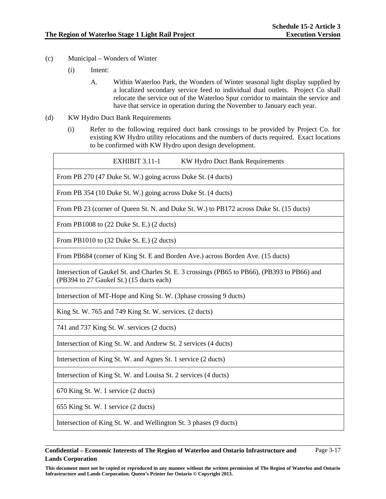- (c) Municipal Wonders of Winter
	- (i) Intent:
		- A. Within Waterloo Park, the Wonders of Winter seasonal light display supplied by a localized secondary service feed to individual dual outlets. Project Co shall relocate the service out of the Waterloo Spur corridor to maintain the service and have that service in operation during the November to January each year.
- (d) KW Hydro Duct Bank Requirements
	- (i) Refer to the following required duct bank crossings to be provided by Project Co. for existing KW Hydro utility relocations and the numbers of ducts required. Exact locations to be confirmed with KW Hydro upon design development.

| EXHIBIT 3.11-1<br>KW Hydro Duct Bank Requirements                                                                                         |
|-------------------------------------------------------------------------------------------------------------------------------------------|
| From PB 270 (47 Duke St. W.) going across Duke St. (4 ducts)                                                                              |
| From PB 354 (10 Duke St. W.) going across Duke St. (4 ducts)                                                                              |
| From PB 23 (corner of Queen St. N. and Duke St. W.) to PB172 across Duke St. (15 ducts)                                                   |
| From PB1008 to $(22 \text{ Duke St. E.})$ $(2 \text{ ducts})$                                                                             |
| From PB1010 to (32 Duke St. E.) (2 ducts)                                                                                                 |
| From PB684 (corner of King St. E and Borden Ave.) across Borden Ave. (15 ducts)                                                           |
| Intersection of Gaukel St. and Charles St. E. 3 crossings (PB65 to PB66), (PB393 to PB66) and<br>(PB394 to 27 Gaukel St.) (15 ducts each) |
| Intersection of MT-Hope and King St. W. (3phase crossing 9 ducts)                                                                         |
| King St. W. 765 and 749 King St. W. services. (2 ducts)                                                                                   |
| 741 and 737 King St. W. services (2 ducts)                                                                                                |
| Intersection of King St. W. and Andrew St. 2 services (4 ducts)                                                                           |
| Intersection of King St. W. and Agnes St. 1 service (2 ducts)                                                                             |
| Intersection of King St. W. and Louisa St. 2 services (4 ducts)                                                                           |
| 670 King St. W. 1 service (2 ducts)                                                                                                       |
| 655 King St. W. 1 service (2 ducts)                                                                                                       |
| Intersection of King St. W. and Wellington St. 3 phases (9 ducts)                                                                         |

#### **Confidential – Economic Interests of The Region of Waterloo and Ontario Infrastructure and Lands Corporation**  Page 3-17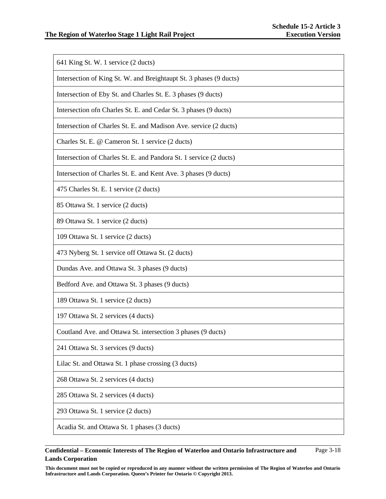641 King St. W. 1 service (2 ducts)

Intersection of King St. W. and Breightaupt St. 3 phases (9 ducts)

Intersection of Eby St. and Charles St. E. 3 phases (9 ducts)

Intersection ofn Charles St. E. and Cedar St. 3 phases (9 ducts)

Intersection of Charles St. E. and Madison Ave. service (2 ducts)

Charles St. E. @ Cameron St. 1 service (2 ducts)

Intersection of Charles St. E. and Pandora St. 1 service (2 ducts)

Intersection of Charles St. E. and Kent Ave. 3 phases (9 ducts)

475 Charles St. E. 1 service (2 ducts)

85 Ottawa St. 1 service (2 ducts)

89 Ottawa St. 1 service (2 ducts)

109 Ottawa St. 1 service (2 ducts)

473 Nyberg St. 1 service off Ottawa St. (2 ducts)

Dundas Ave. and Ottawa St. 3 phases (9 ducts)

Bedford Ave. and Ottawa St. 3 phases (9 ducts)

189 Ottawa St. 1 service (2 ducts)

197 Ottawa St. 2 services (4 ducts)

Coutland Ave. and Ottawa St. intersection 3 phases (9 ducts)

241 Ottawa St. 3 services (9 ducts)

Lilac St. and Ottawa St. 1 phase crossing (3 ducts)

268 Ottawa St. 2 services (4 ducts)

285 Ottawa St. 2 services (4 ducts)

293 Ottawa St. 1 service (2 ducts)

Acadia St. and Ottawa St. 1 phases (3 ducts)

#### **Confidential – Economic Interests of The Region of Waterloo and Ontario Infrastructure and Lands Corporation**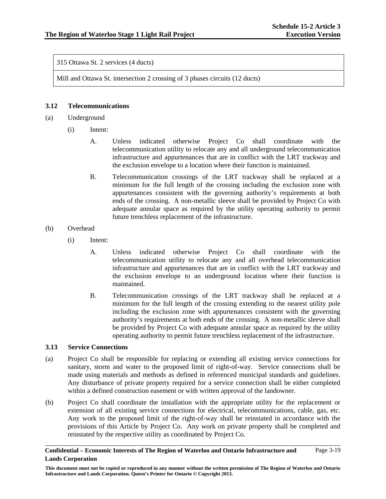315 Ottawa St. 2 services (4 ducts)

Mill and Ottawa St. intersection 2 crossing of 3 phases circuits (12 ducts)

## **3.12 Telecommunications**

- (a) Underground
	- (i) Intent:
		- A. Unless indicated otherwise Project Co shall coordinate with the telecommunication utility to relocate any and all underground telecommunication infrastructure and appurtenances that are in conflict with the LRT trackway and the exclusion envelope to a location where their function is maintained.
		- B. Telecommunication crossings of the LRT trackway shall be replaced at a minimum for the full length of the crossing including the exclusion zone with appurtenances consistent with the governing authority's requirements at both ends of the crossing. A non-metallic sleeve shall be provided by Project Co with adequate annular space as required by the utility operating authority to permit future trenchless replacement of the infrastructure.

### (b) Overhead

- (i) Intent:
	- A. Unless indicated otherwise Project Co shall coordinate with the telecommunication utility to relocate any and all overhead telecommunication infrastructure and appurtenances that are in conflict with the LRT trackway and the exclusion envelope to an underground location where their function is maintained.
	- B. Telecommunication crossings of the LRT trackway shall be replaced at a minimum for the full length of the crossing extending to the nearest utility pole including the exclusion zone with appurtenances consistent with the governing authority's requirements at both ends of the crossing. A non-metallic sleeve shall be provided by Project Co with adequate annular space as required by the utility operating authority to permit future trenchless replacement of the infrastructure.

### **3.13 Service Connections**

- (a) Project Co shall be responsible for replacing or extending all existing service connections for sanitary, storm and water to the proposed limit of right-of-way. Service connections shall be made using materials and methods as defined in referenced municipal standards and guidelines. Any disturbance of private property required for a service connection shall be either completed within a defined construction easement or with written approval of the landowner.
- (b) Project Co shall coordinate the installation with the appropriate utility for the replacement or extension of all existing service connections for electrical, telecommunications, cable, gas, etc. Any work to the proposed limit of the right-of-way shall be reinstated in accordance with the provisions of this Article by Project Co. Any work on private property shall be completed and reinstated by the respective utility as coordinated by Project Co.

#### **Confidential – Economic Interests of The Region of Waterloo and Ontario Infrastructure and Lands Corporation**  Page 3-19

**This document must not be copied or reproduced in any manner without the written permission of The Region of Waterloo and Ontario Infrastructure and Lands Corporation. Queen's Printer for Ontario © Copyright 2013.**